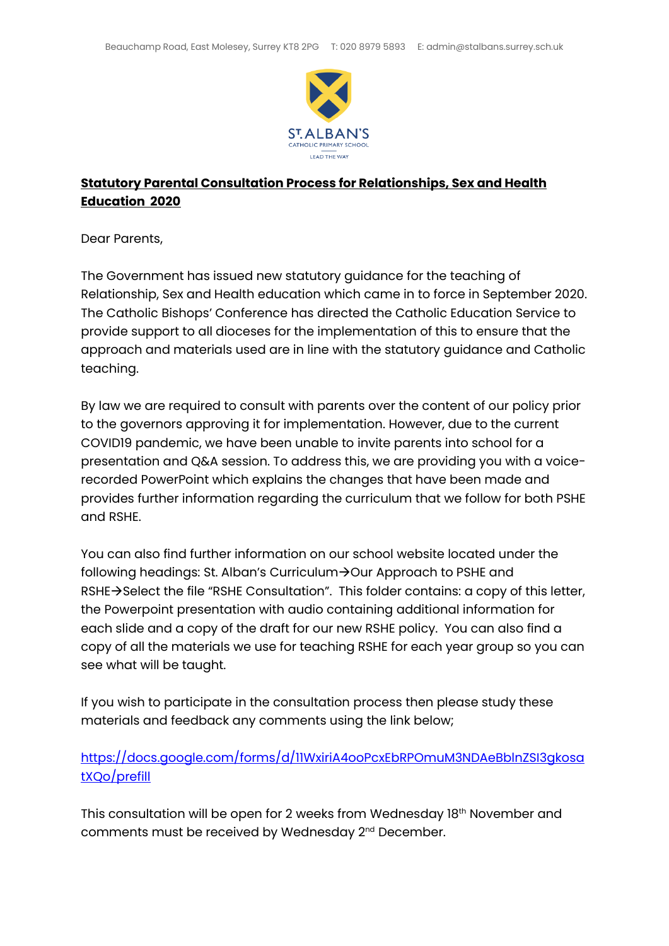

## **Statutory Parental Consultation Process for Relationships, Sex and Health Education 2020**

Dear Parents,

The Government has issued new statutory guidance for the teaching of Relationship, Sex and Health education which came in to force in September 2020. The Catholic Bishops' Conference has directed the Catholic Education Service to provide support to all dioceses for the implementation of this to ensure that the approach and materials used are in line with the statutory guidance and Catholic teaching.

By law we are required to consult with parents over the content of our policy prior to the governors approving it for implementation. However, due to the current COVID19 pandemic, we have been unable to invite parents into school for a presentation and Q&A session. To address this, we are providing you with a voicerecorded PowerPoint which explains the changes that have been made and provides further information regarding the curriculum that we follow for both PSHE and RSHE.

You can also find further information on our school website located under the following headings: St. Alban's Curriculum $\rightarrow$ Our Approach to PSHE and  $RSHE \rightarrow$  Select the file "RSHE Consultation". This folder contains: a copy of this letter, the Powerpoint presentation with audio containing additional information for each slide and a copy of the draft for our new RSHE policy. You can also find a copy of all the materials we use for teaching RSHE for each year group so you can see what will be taught.

If you wish to participate in the consultation process then please study these materials and feedback any comments using the link below;

## [https://docs.google.com/forms/d/11WxiriA4ooPcxEbRPOmuM3NDAeBblnZSI3gkosa](https://docs.google.com/forms/d/11WxiriA4ooPcxEbRPOmuM3NDAeBblnZSI3gkosatXQo/prefill) [tXQo/prefill](https://docs.google.com/forms/d/11WxiriA4ooPcxEbRPOmuM3NDAeBblnZSI3gkosatXQo/prefill)

This consultation will be open for 2 weeks from Wednesday 18th November and comments must be received by Wednesday 2<sup>nd</sup> December.